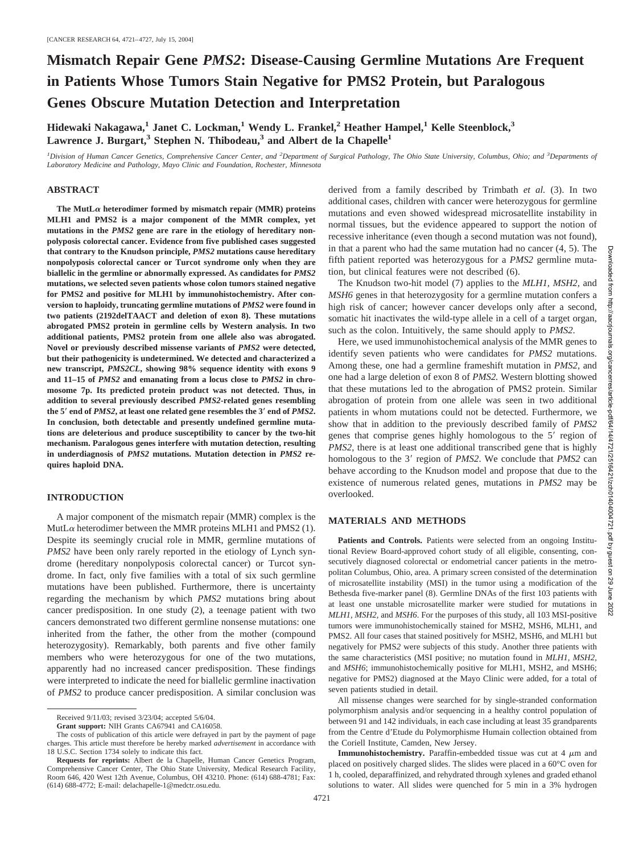# **Mismatch Repair Gene** *PMS2***: Disease-Causing Germline Mutations Are Frequent in Patients Whose Tumors Stain Negative for PMS2 Protein, but Paralogous Genes Obscure Mutation Detection and Interpretation**

**Hidewaki Nakagawa,1 Janet C. Lockman,1 Wendy L. Frankel,2 Heather Hampel,1 Kelle Steenblock,3** Lawrence J. Burgart,<sup>3</sup> Stephen N. Thibodeau,<sup>3</sup> and Albert de la Chapelle<sup>1</sup>

<sup>*1*</sup> Division of Human Cancer Genetics, Comprehensive Cancer Center, and <sup>2</sup> Department of Surgical Pathology, The Ohio State University, Columbus, Ohio; and <sup>3</sup> Departments of *Laboratory Medicine and Pathology, Mayo Clinic and Foundation, Rochester, Minnesota*

#### **ABSTRACT**

The MutL $\alpha$  heterodimer formed by mismatch repair (MMR) proteins **MLH1 and PMS2 is a major component of the MMR complex, yet mutations in the** *PMS2* **gene are rare in the etiology of hereditary nonpolyposis colorectal cancer. Evidence from five published cases suggested that contrary to the Knudson principle,** *PMS2* **mutations cause hereditary nonpolyposis colorectal cancer or Turcot syndrome only when they are biallelic in the germline or abnormally expressed. As candidates for** *PMS2* **mutations, we selected seven patients whose colon tumors stained negative for PMS2 and positive for MLH1 by immunohistochemistry. After conversion to haploidy, truncating germline mutations of** *PMS2* **were found in two patients (2192delTAACT and deletion of exon 8). These mutations abrogated PMS2 protein in germline cells by Western analysis. In two additional patients, PMS2 protein from one allele also was abrogated. Novel or previously described missense variants of** *PMS2* **were detected, but their pathogenicity is undetermined. We detected and characterized a new transcript,** *PMS2CL***, showing 98% sequence identity with exons 9 and 11–15 of** *PMS2* **and emanating from a locus close to** *PMS2* **in chromosome 7p. Its predicted protein product was not detected. Thus, in addition to several previously described** *PMS2***-related genes resembling the 5 end of** *PMS2***, at least one related gene resembles the 3 end of** *PMS2***. In conclusion, both detectable and presently undefined germline mutations are deleterious and produce susceptibility to cancer by the two-hit mechanism. Paralogous genes interfere with mutation detection, resulting in underdiagnosis of** *PMS2* **mutations. Mutation detection in** *PMS2* **requires haploid DNA.**

## **INTRODUCTION**

A major component of the mismatch repair (MMR) complex is the MutL $\alpha$  heterodimer between the MMR proteins MLH1 and PMS2 (1). Despite its seemingly crucial role in MMR, germline mutations of *PMS2* have been only rarely reported in the etiology of Lynch syndrome (hereditary nonpolyposis colorectal cancer) or Turcot syndrome. In fact, only five families with a total of six such germline mutations have been published. Furthermore, there is uncertainty regarding the mechanism by which *PMS2* mutations bring about cancer predisposition. In one study (2), a teenage patient with two cancers demonstrated two different germline nonsense mutations: one inherited from the father, the other from the mother (compound heterozygosity). Remarkably, both parents and five other family members who were heterozygous for one of the two mutations, apparently had no increased cancer predisposition. These findings were interpreted to indicate the need for biallelic germline inactivation of *PMS2* to produce cancer predisposition. A similar conclusion was derived from a family described by Trimbath *et al.* (3). In two additional cases, children with cancer were heterozygous for germline mutations and even showed widespread microsatellite instability in normal tissues, but the evidence appeared to support the notion of recessive inheritance (even though a second mutation was not found), in that a parent who had the same mutation had no cancer (4, 5). The fifth patient reported was heterozygous for a *PMS2* germline mutation, but clinical features were not described (6).

The Knudson two-hit model (7) applies to the *MLH1, MSH2,* and *MSH6* genes in that heterozygosity for a germline mutation confers a high risk of cancer; however cancer develops only after a second, somatic hit inactivates the wild-type allele in a cell of a target organ, such as the colon. Intuitively, the same should apply to *PMS2*.

Here, we used immunohistochemical analysis of the MMR genes to identify seven patients who were candidates for *PMS2* mutations. Among these, one had a germline frameshift mutation in *PMS2*, and one had a large deletion of exon 8 of *PMS2.* Western blotting showed that these mutations led to the abrogation of PMS2 protein. Similar abrogation of protein from one allele was seen in two additional patients in whom mutations could not be detected. Furthermore, we show that in addition to the previously described family of *PMS2* genes that comprise genes highly homologous to the 5' region of *PMS2*, there is at least one additional transcribed gene that is highly homologous to the 3' region of *PMS2*. We conclude that *PMS2* can behave according to the Knudson model and propose that due to the existence of numerous related genes, mutations in *PMS2* may be overlooked.

#### **MATERIALS AND METHODS**

Patients and Controls. Patients were selected from an ongoing Institutional Review Board-approved cohort study of all eligible, consenting, consecutively diagnosed colorectal or endometrial cancer patients in the metropolitan Columbus, Ohio, area. A primary screen consisted of the determination of microsatellite instability (MSI) in the tumor using a modification of the Bethesda five-marker panel (8). Germline DNAs of the first 103 patients with at least one unstable microsatellite marker were studied for mutations in *MLH1, MSH2,* and *MSH6*. For the purposes of this study, all 103 MSI-positive tumors were immunohistochemically stained for MSH2, MSH6, MLH1, and PMS2. All four cases that stained positively for MSH2, MSH6, and MLH1 but negatively for PMS*2* were subjects of this study. Another three patients with the same characteristics (MSI positive; no mutation found in *MLH1, MSH2,* and *MSH6*; immunohistochemically positive for MLH1, MSH2, and MSH6; negative for PMS2) diagnosed at the Mayo Clinic were added, for a total of seven patients studied in detail.

All missense changes were searched for by single-stranded conformation polymorphism analysis and/or sequencing in a healthy control population of between 91 and 142 individuals, in each case including at least 35 grandparents from the Centre d'Etude du Polymorphisme Humain collection obtained from the Coriell Institute, Camden, New Jersey.

**Immunohistochemistry.** Paraffin-embedded tissue was cut at  $4 \mu$ m and placed on positively charged slides. The slides were placed in a 60°C oven for 1 h, cooled, deparaffinized, and rehydrated through xylenes and graded ethanol solutions to water. All slides were quenched for 5 min in a 3% hydrogen

Received 9/11/03; revised 3/23/04; accepted 5/6/04.

**Grant support:** NIH Grants CA67941 and CA16058.

The costs of publication of this article were defrayed in part by the payment of page charges. This article must therefore be hereby marked *advertisement* in accordance with 18 U.S.C. Section 1734 solely to indicate this fact.

**Requests for reprints:** Albert de la Chapelle, Human Cancer Genetics Program, Comprehensive Cancer Center, The Ohio State University, Medical Research Facility, Room 646, 420 West 12th Avenue, Columbus, OH 43210. Phone: (614) 688-4781; Fax: (614) 688-4772; E-mail: delachapelle-1@medctr.osu.edu.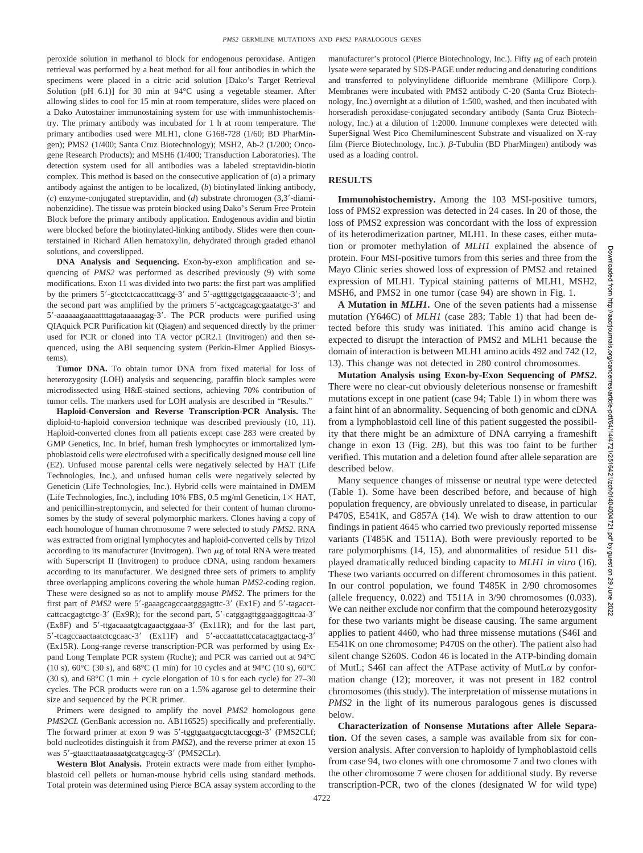peroxide solution in methanol to block for endogenous peroxidase. Antigen retrieval was performed by a heat method for all four antibodies in which the specimens were placed in a citric acid solution [Dako's Target Retrieval Solution (pH 6.1)] for 30 min at 94°C using a vegetable steamer. After allowing slides to cool for 15 min at room temperature, slides were placed on a Dako Autostainer immunostaining system for use with immunhistochemistry. The primary antibody was incubated for 1 h at room temperature. The primary antibodies used were MLH1, clone G168-728 (1/60; BD PharMingen); PMS2 (1/400; Santa Cruz Biotechnology); MSH2, Ab-2 (1/200; Oncogene Research Products); and MSH6 (1/400; Transduction Laboratories). The detection system used for all antibodies was a labeled streptavidin-biotin complex. This method is based on the consecutive application of (*a*) a primary antibody against the antigen to be localized, (*b*) biotinylated linking antibody, (*c*) enzyme-conjugated streptavidin, and (*d*) substrate chromogen (3,3-diaminobenzidine). The tissue was protein blocked using Dako's Serum Free Protein Block before the primary antibody application. Endogenous avidin and biotin were blocked before the biotinylated-linking antibody. Slides were then counterstained in Richard Allen hematoxylin, dehydrated through graded ethanol solutions, and coverslipped.

**DNA Analysis and Sequencing.** Exon-by-exon amplification and sequencing of *PMS2* was performed as described previously (9) with some modifications. Exon 11 was divided into two parts: the first part was amplified by the primers 5'-gtcctctcaccatttcagg-3' and 5'-agtttggctgaggcaaaactc-3'; and the second part was amplified by the primers 5'-actgcagcagcgaatatgc-3' and 5'-aaaaaagaaaattttagataaaaagag-3'. The PCR products were purified using QIAquick PCR Purification kit (Qiagen) and sequenced directly by the primer used for PCR or cloned into TA vector pCR2.1 (Invitrogen) and then sequenced, using the ABI sequencing system (Perkin-Elmer Applied Biosystems).

**Tumor DNA.** To obtain tumor DNA from fixed material for loss of heterozygosity (LOH) analysis and sequencing, paraffin block samples were microdissected using H&E-stained sections, achieving 70% contribution of tumor cells. The markers used for LOH analysis are described in "Results."

**Haploid-Conversion and Reverse Transcription-PCR Analysis.** The diploid-to-haploid conversion technique was described previously (10, 11). Haploid-converted clones from all patients except case 283 were created by GMP Genetics, Inc. In brief, human fresh lymphocytes or immortalized lymphoblastoid cells were electrofused with a specifically designed mouse cell line (E2). Unfused mouse parental cells were negatively selected by HAT (Life Technologies, Inc.), and unfused human cells were negatively selected by Geneticin (Life Technologies, Inc.). Hybrid cells were maintained in DMEM (Life Technologies, Inc.), including 10% FBS, 0.5 mg/ml Geneticin,  $1 \times HAT$ , and penicillin-streptomycin, and selected for their content of human chromosomes by the study of several polymorphic markers. Clones having a copy of each homologue of human chromosome 7 were selected to study *PMS2*. RNA was extracted from original lymphocytes and haploid-converted cells by Trizol according to its manufacturer (Invitrogen). Two  $\mu$ g of total RNA were treated with Superscript II (Invitrogen) to produce cDNA, using random hexamers according to its manufacturer. We designed three sets of primers to amplify three overlapping amplicons covering the whole human *PMS2*-coding region. These were designed so as not to amplify mouse *PMS2*. The primers for the first part of *PMS2* were 5'-gaaagcagccaatgggagttc-3' (Ex1F) and 5'-tagacctcattcacgagtctgc-3' (Ex9R); for the second part, 5'-catggagttggaaggagttcaa-3' (Ex8F) and 5'-ttgacaaatgtcagaactggaaa-3' (Ex11R); and for the last part, 5'-tcagccaactaatctcgcaac-3' (Ex11F) and 5'-accaattattccatacagtgactacg-3' (Ex15R). Long-range reverse transcription-PCR was performed by using Expand Long Template PCR system (Roche); and PCR was carried out at 94°C (10 s),  $60^{\circ}$ C (30 s), and  $68^{\circ}$ C (1 min) for 10 cycles and at 94 $^{\circ}$ C (10 s),  $60^{\circ}$ C (30 s), and  $68^{\circ}$ C (1 min + cycle elongation of 10 s for each cycle) for 27–30 cycles. The PCR products were run on a 1.5% agarose gel to determine their size and sequenced by the PCR primer.

Primers were designed to amplify the novel *PMS2* homologous gene PMS2CL (GenBank accession no. AB116525) specifically and preferentially. The forward primer at exon 9 was 5'-tggtgaatgacgtctaccgcgt-3' (PMS2CLf; bold nucleotides distinguish it from *PMS2*), and the reverse primer at exon 15 was 5'-gtaacttaataaaaatgcatgcagcg-3' (PMS2CLr).

**Western Blot Analysis.** Protein extracts were made from either lymphoblastoid cell pellets or human-mouse hybrid cells using standard methods. Total protein was determined using Pierce BCA assay system according to the

manufacturer's protocol (Pierce Biotechnology, Inc.). Fifty  $\mu$ g of each protein lysate were separated by SDS-PAGE under reducing and denaturing conditions and transferred to polyvinylidene difluoride membrane (Millipore Corp.). Membranes were incubated with PMS2 antibody C-20 (Santa Cruz Biotechnology, Inc.) overnight at a dilution of 1:500, washed, and then incubated with horseradish peroxidase-conjugated secondary antibody (Santa Cruz Biotechnology, Inc.) at a dilution of 1:2000. Immune complexes were detected with SuperSignal West Pico Chemiluminescent Substrate and visualized on X-ray film (Pierce Biotechnology, Inc.).  $\beta$ -Tubulin (BD PharMingen) antibody was used as a loading control.

## **RESULTS**

**Immunohistochemistry.** Among the 103 MSI-positive tumors, loss of PMS2 expression was detected in 24 cases. In 20 of those, the loss of PMS2 expression was concordant with the loss of expression of its heterodimerization partner, MLH1. In these cases, either mutation or promoter methylation of *MLH1* explained the absence of protein. Four MSI-positive tumors from this series and three from the Mayo Clinic series showed loss of expression of PMS2 and retained expression of MLH1. Typical staining patterns of MLH1, MSH2, MSH6, and PMS2 in one tumor (case 94) are shown in Fig. 1.

**A Mutation in** *MLH1***.** One of the seven patients had a missense mutation (Y646C) of *MLH1* (case 283; Table 1) that had been detected before this study was initiated. This amino acid change is expected to disrupt the interaction of PMS2 and MLH1 because the domain of interaction is between MLH1 amino acids 492 and 742 (12, 13). This change was not detected in 280 control chromosomes.

**Mutation Analysis using Exon-by-Exon Sequencing of** *PMS2***.** There were no clear-cut obviously deleterious nonsense or frameshift mutations except in one patient (case 94; Table 1) in whom there was a faint hint of an abnormality. Sequencing of both genomic and cDNA from a lymphoblastoid cell line of this patient suggested the possibility that there might be an admixture of DNA carrying a frameshift change in exon 13 (Fig. 2*B*), but this was too faint to be further verified. This mutation and a deletion found after allele separation are described below.

Many sequence changes of missense or neutral type were detected (Table 1). Some have been described before, and because of high population frequency, are obviously unrelated to disease, in particular P470S, E541K, and G857A (14). We wish to draw attention to our findings in patient 4645 who carried two previously reported missense variants (T485K and T511A). Both were previously reported to be rare polymorphisms (14, 15), and abnormalities of residue 511 displayed dramatically reduced binding capacity to *MLH1 in vitro* (16). These two variants occurred on different chromosomes in this patient. In our control population, we found T485K in 2/90 chromosomes (allele frequency, 0.022) and T511A in 3/90 chromosomes (0.033). We can neither exclude nor confirm that the compound heterozygosity for these two variants might be disease causing. The same argument applies to patient 4460, who had three missense mutations (S46I and E541K on one chromosome; P470S on the other). The patient also had silent change S260S. Codon 46 is located in the ATP-binding domain of MutL; S46I can affect the ATPase activity of MutL $\alpha$  by conformation change (12); moreover, it was not present in 182 control chromosomes (this study). The interpretation of missense mutations in *PMS2* in the light of its numerous paralogous genes is discussed below.

**Characterization of Nonsense Mutations after Allele Separation.** Of the seven cases, a sample was available from six for conversion analysis. After conversion to haploidy of lymphoblastoid cells from case 94, two clones with one chromosome 7 and two clones with the other chromosome 7 were chosen for additional study. By reverse transcription-PCR, two of the clones (designated W for wild type)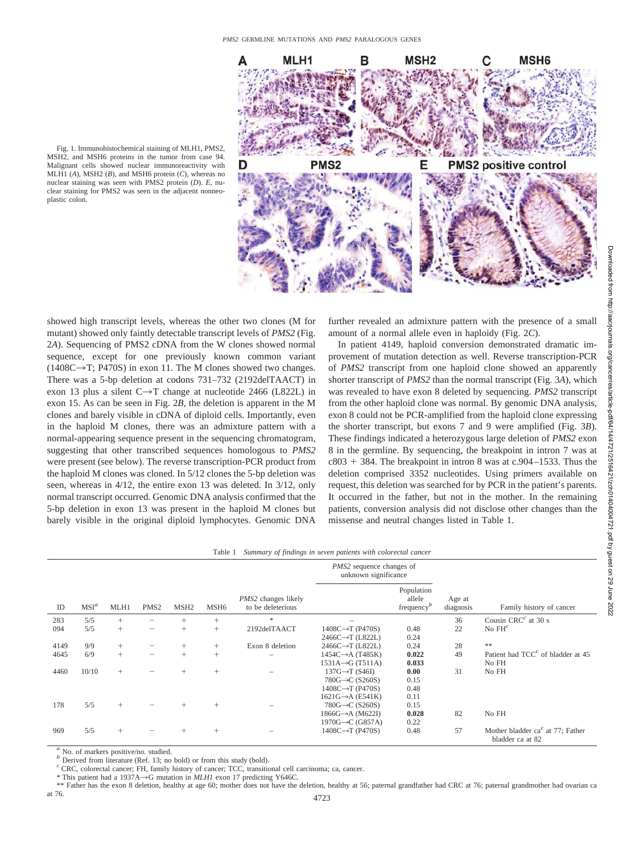

Fig. 1. Immunohistochemical staining of MLH1, PMS2, MSH2, and MSH6 proteins in the tumor from case 94. Malignant cells showed nuclear immunoreactivity with MLH1 (*A*), MSH2 (*B*), and MSH6 protein (*C*), whereas no nuclear staining was seen with PMS2 protein (*D*). *E,* nuclear staining for PMS2 was seen in the adjacent nonneoplastic colon.

showed high transcript levels, whereas the other two clones (M for mutant) showed only faintly detectable transcript levels of *PMS2* (Fig. 2*A*). Sequencing of PMS2 cDNA from the W clones showed normal sequence, except for one previously known common variant  $(1408C \rightarrow T; P470S)$  in exon 11. The M clones showed two changes. There was a 5-bp deletion at codons 731–732 (2192delTAACT) in exon 13 plus a silent  $C \rightarrow T$  change at nucleotide 2466 (L822L) in exon 15. As can be seen in Fig. 2*B,* the deletion is apparent in the M clones and barely visible in cDNA of diploid cells. Importantly, even in the haploid M clones, there was an admixture pattern with a normal-appearing sequence present in the sequencing chromatogram, suggesting that other transcribed sequences homologous to *PMS2* were present (see below). The reverse transcription-PCR product from the haploid M clones was cloned. In 5/12 clones the 5-bp deletion was seen, whereas in 4/12, the entire exon 13 was deleted. In 3/12, only normal transcript occurred. Genomic DNA analysis confirmed that the 5-bp deletion in exon 13 was present in the haploid M clones but barely visible in the original diploid lymphocytes. Genomic DNA

further revealed an admixture pattern with the presence of a small amount of a normal allele even in haploidy (Fig. 2*C*).

In patient 4149, haploid conversion demonstrated dramatic improvement of mutation detection as well. Reverse transcription-PCR of *PMS2* transcript from one haploid clone showed an apparently shorter transcript of *PMS2* than the normal transcript (Fig. 3*A*), which was revealed to have exon 8 deleted by sequencing. *PMS2* transcript from the other haploid clone was normal. By genomic DNA analysis, exon 8 could not be PCR-amplified from the haploid clone expressing the shorter transcript, but exons 7 and 9 were amplified (Fig. 3*B*). These findings indicated a heterozygous large deletion of *PMS2* exon 8 in the germline. By sequencing, the breakpoint in intron 7 was at  $c803 + 384$ . The breakpoint in intron 8 was at c.904–1533. Thus the deletion comprised 3352 nucleotides. Using primers available on request, this deletion was searched for by PCR in the patient's parents. It occurred in the father, but not in the mother. In the remaining patients, conversion analysis did not disclose other changes than the missense and neutral changes listed in Table 1.

|      |         |        |                          |                  |                  |                                                 | <i>PMS2</i> sequence changes of<br>unknown significance                                                                      |                                                       |                     |                                                                               |
|------|---------|--------|--------------------------|------------------|------------------|-------------------------------------------------|------------------------------------------------------------------------------------------------------------------------------|-------------------------------------------------------|---------------------|-------------------------------------------------------------------------------|
| ID   | $MSI^a$ | MLH1   | PMS <sub>2</sub>         | MSH <sub>2</sub> | MSH <sub>6</sub> | <i>PMS2</i> changes likely<br>to be deleterious |                                                                                                                              | Population<br>allele<br>frequency <sup><i>b</i></sup> | Age at<br>diagnosis | Family history of cancer                                                      |
| 283  | 5/5     | $^{+}$ | -                        | $^{+}$           | $^{+}$           | $\gg$                                           |                                                                                                                              |                                                       | 36                  | Cousin CRC $^c$ at 30 s                                                       |
| 094  | 5/5     | $+$    | $\overline{\phantom{0}}$ | $^{+}$           | $^{+}$           | 2192delTAACT                                    | $1408C \rightarrow T (P470S)$<br>2466C→T (L822L)                                                                             | 0.48<br>0.24                                          | 22                  | No $FH^c$                                                                     |
| 4149 | 9/9     | $+$    | -                        | $^{+}$           | $^{+}$           | Exon 8 deletion                                 | 2466C→T (L822L)                                                                                                              | 0.24                                                  | 28                  | $\pm\pm$                                                                      |
| 4645 | 6/9     | $+$    | -                        | $^{+}$           | $^{+}$           |                                                 | $1454C \rightarrow A (T485K)$<br>$1531A \rightarrow G$ (T511A)                                                               | 0.022<br>0.033                                        | 49                  | Patient had $TCCc$ of bladder at 45<br>No FH                                  |
| 4460 | 10/10   | $^{+}$ |                          | $^{+}$           | $^{+}$           |                                                 | $137G \rightarrow T(S46I)$<br>780G $\rightarrow$ C (S260S)<br>$1408C \rightarrow T (P470S)$<br>$1621G \rightarrow A (E541K)$ | 0.00<br>0.15<br>0.48<br>0.11                          | 31                  | No FH                                                                         |
| 178  | 5/5     | $^{+}$ |                          |                  | $^{+}$           |                                                 | 780G $\rightarrow$ C (S260S)<br>$1866G \rightarrow A (M622I)$<br>$1970G \rightarrow C$ (G857A)                               | 0.15<br>0.028<br>0.22                                 | 82                  | No FH                                                                         |
| 969  | 5/5     | $^{+}$ |                          | $^{+}$           | $^{+}$           |                                                 | $1408C \rightarrow T (P470S)$                                                                                                | 0.48                                                  | 57                  | Mother bladder ca <sup><math>c</math></sup> at 77; Father<br>bladder ca at 82 |

 $\alpha$  No. of markers positive/no. studied.<br>  $\alpha$  Derived from literature (Ref. 13; no bold) or from this study (bold).<br>  $\alpha$  CRC, colorectal cancer; FH, family history of cancer; TCC, transitional cell carcinoma; ca, cance

 $*$  This patient had a 1937A $\rightarrow$ G mutation in *MLH1* exon 17 predicting Y646C.

\*\* Father has the exon 8 deletion, healthy at age 60; mother does not have the deletion, healthy at 56; paternal grandfather had CRC at 76; paternal grandmother had ovarian ca at 76.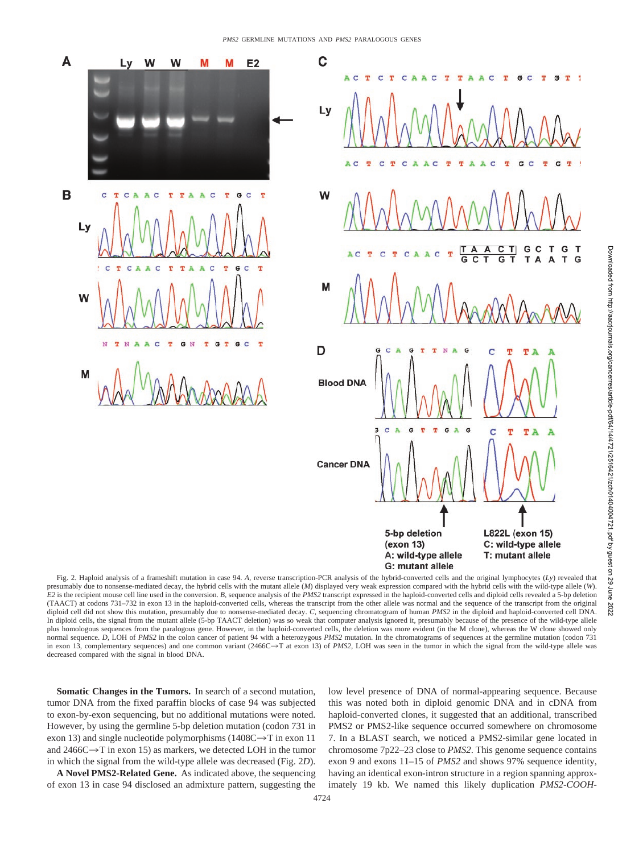

Fig. 2. Haploid analysis of a frameshift mutation in case 94. *A,* reverse transcription-PCR analysis of the hybrid-converted cells and the original lymphocytes (*Ly*) revealed that presumably due to nonsense-mediated decay, the hybrid cells with the mutant allele (*M*) displayed very weak expression compared with the hybrid cells with the wild-type allele (*W*). *E2* is the recipient mouse cell line used in the conversion. *B,* sequence analysis of the *PMS2* transcript expressed in the haploid-converted cells and diploid cells revealed a 5-bp deletion (TAACT) at codons 731–732 in exon 13 in the haploid-converted cells, whereas the transcript from the other allele was normal and the sequence of the transcript from the original diploid cell did not show this mutation, presumably due to nonsense-mediated decay. *C,* sequencing chromatogram of human *PMS2* in the diploid and haploid-converted cell DNA. In diploid cells, the signal from the mutant allele (5-bp TAACT deletion) was so weak that computer analysis ignored it, presumably because of the presence of the wild-type allele plus homologous sequences from the paralogous gene. However, in the haploid-converted cells, the deletion was more evident (in the M clone), whereas the W clone showed only normal sequence. *D,* LOH of *PMS2* in the colon cancer of patient 94 with a heterozygous *PMS2* mutation. In the chromatograms of sequences at the germline mutation (codon 731 in exon 13, complementary sequences) and one common variant (2466C->T at exon 13) of *PMS2*, LOH was seen in the tumor in which the signal from the wild-type allele was decreased compared with the signal in blood DNA.

**Somatic Changes in the Tumors.** In search of a second mutation, tumor DNA from the fixed paraffin blocks of case 94 was subjected to exon-by-exon sequencing, but no additional mutations were noted. However, by using the germline 5-bp deletion mutation (codon 731 in exon 13) and single nucleotide polymorphisms (1408C $\rightarrow$ T in exon 11 and  $2466C \rightarrow T$  in exon 15) as markers, we detected LOH in the tumor in which the signal from the wild-type allele was decreased (Fig. 2*D*).

**A Novel PMS2-Related Gene.** As indicated above, the sequencing of exon 13 in case 94 disclosed an admixture pattern, suggesting the low level presence of DNA of normal-appearing sequence. Because this was noted both in diploid genomic DNA and in cDNA from haploid-converted clones, it suggested that an additional, transcribed PMS2 or PMS2-like sequence occurred somewhere on chromosome 7. In a BLAST search, we noticed a PMS2-similar gene located in chromosome 7p22–23 close to *PMS2*. This genome sequence contains exon 9 and exons 11–15 of *PMS2* and shows 97% sequence identity, having an identical exon-intron structure in a region spanning approximately 19 kb. We named this likely duplication *PMS2-COOH-*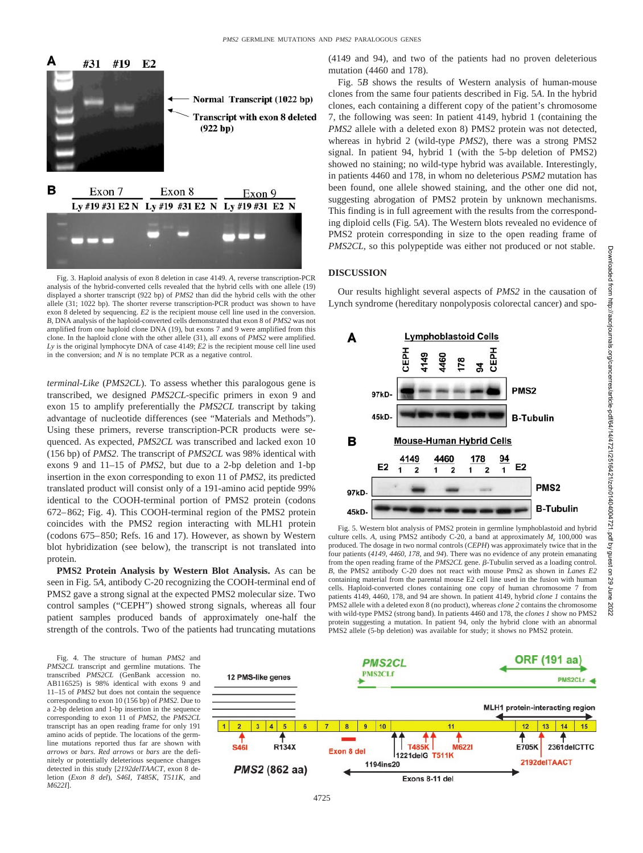

Fig. 3. Haploid analysis of exon 8 deletion in case 4149. *A,* reverse transcription-PCR analysis of the hybrid-converted cells revealed that the hybrid cells with one allele (19) displayed a shorter transcript (922 bp) of *PMS2* than did the hybrid cells with the other allele (31; 1022 bp). The shorter reverse transcription-PCR product was shown to have exon 8 deleted by sequencing. *E2* is the recipient mouse cell line used in the conversion. *B,* DNA analysis of the haploid-converted cells demonstrated that exon 8 of *PMS2* was not amplified from one haploid clone DNA (19), but exons 7 and 9 were amplified from this clone. In the haploid clone with the other allele (31), all exons of *PMS2* were amplified. *Ly* is the original lymphocyte DNA of case 4149; *E2* is the recipient mouse cell line used in the conversion; and *N* is no template PCR as a negative control.

*terminal-Like* (*PMS2CL*). To assess whether this paralogous gene is transcribed, we designed *PMS2CL*-specific primers in exon 9 and exon 15 to amplify preferentially the *PMS2CL* transcript by taking advantage of nucleotide differences (see "Materials and Methods"). Using these primers, reverse transcription-PCR products were sequenced. As expected, *PMS2CL* was transcribed and lacked exon 10 (156 bp) of *PMS2*. The transcript of *PMS2CL* was 98% identical with exons 9 and 11–15 of *PMS2*, but due to a 2-bp deletion and 1-bp insertion in the exon corresponding to exon 11 of *PMS2*, its predicted translated product will consist only of a 191-amino acid peptide 99% identical to the COOH-terminal portion of PMS2 protein (codons 672–862; Fig. 4). This COOH-terminal region of the PMS2 protein coincides with the PMS2 region interacting with MLH1 protein (codons 675–850; Refs. 16 and 17). However, as shown by Western blot hybridization (see below), the transcript is not translated into protein.

**PMS2 Protein Analysis by Western Blot Analysis.** As can be seen in Fig. 5*A,* antibody C-20 recognizing the COOH-terminal end of PMS2 gave a strong signal at the expected PMS2 molecular size. Two control samples ("CEPH") showed strong signals, whereas all four patient samples produced bands of approximately one-half the strength of the controls. Two of the patients had truncating mutations

Fig. 4. The structure of human *PMS2* and *PMS2CL* transcript and germline mutations. The transcribed *PMS2CL* (GenBank accession no. AB116525) is 98% identical with exons 9 and 11–15 of *PMS2* but does not contain the sequence corresponding to exon 10 (156 bp) of *PMS2*. Due to a 2-bp deletion and 1-bp insertion in the sequence corresponding to exon 11 of *PMS2*, the *PMS2CL* transcript has an open reading frame for only 191 amino acids of peptide. The locations of the germline mutations reported thus far are shown with *arrows* or *bars*. *Red arrows* or *bars* are the definitely or potentially deleterious sequence changes detected in this study [*2192delTAACT,* exon 8 deletion (*Exon 8 del*), *S46I, T485K, T511K,* and *M622I*].

**ORF (191 aa PMS2CL PMS2CLf** 12 PMS-like genes PMS2CLr < MLH1 protein-interacting region  $3 | 4 |$ 5  $\mathbf{1}$  $\overline{2}$  $10$  $12$  $13$ 14  $11$ R134X **E705K S461 T485K M6221** 2361delCTTC **Exon 8 del** 1221 del G **T511K** 2192delTAACT 1194ins20 PMS2 (862 aa) Exons 8-11 del

(4149 and 94), and two of the patients had no proven deleterious mutation (4460 and 178).

Fig. 5*B* shows the results of Western analysis of human-mouse clones from the same four patients described in Fig. 5*A*. In the hybrid clones, each containing a different copy of the patient's chromosome 7, the following was seen: In patient 4149, hybrid 1 (containing the *PMS2* allele with a deleted exon 8) PMS2 protein was not detected, whereas in hybrid 2 (wild-type *PMS2*), there was a strong PMS2 signal. In patient 94, hybrid 1 (with the 5-bp deletion of PMS2) showed no staining; no wild-type hybrid was available. Interestingly, in patients 4460 and 178, in whom no deleterious *PSM2* mutation has been found, one allele showed staining, and the other one did not, suggesting abrogation of PMS2 protein by unknown mechanisms. This finding is in full agreement with the results from the corresponding diploid cells (Fig. 5*A*). The Western blots revealed no evidence of PMS2 protein corresponding in size to the open reading frame of *PMS2CL*, so this polypeptide was either not produced or not stable.

#### **DISCUSSION**

Our results highlight several aspects of *PMS2* in the causation of Lynch syndrome (hereditary nonpolyposis colorectal cancer) and spo-



Fig. 5. Western blot analysis of PMS2 protein in germline lymphoblastoid and hybrid culture cells. A, using PMS2 antibody C-20, a band at approximately  $M_r$  100,000 was produced. The dosage in two normal controls (*CEPH*) was approximately twice that in the four patients (*4149, 4460, 178,* and *94*). There was no evidence of any protein emanating from the open reading frame of the  $PMS2CL$  gene.  $\beta$ -Tubulin served as a loading control. *B,* the PMS2 antibody C-20 does not react with mouse Pms2 as shown in *Lanes E2* containing material from the parental mouse E2 cell line used in the fusion with human cells. Haploid-converted clones containing one copy of human chromosome 7 from patients 4149, 4460, 178, and 94 are shown. In patient 4149, hybrid *clone 1* contains the PMS2 allele with a deleted exon 8 (no product), whereas *clone 2* contains the chromosome with wild-type PMS2 (strong band). In patients 4460 and 178, the *clones 1* show no PMS2 protein suggesting a mutation. In patient 94, only the hybrid clone with an abnormal PMS2 allele (5-bp deletion) was available for study; it shows no PMS2 protein.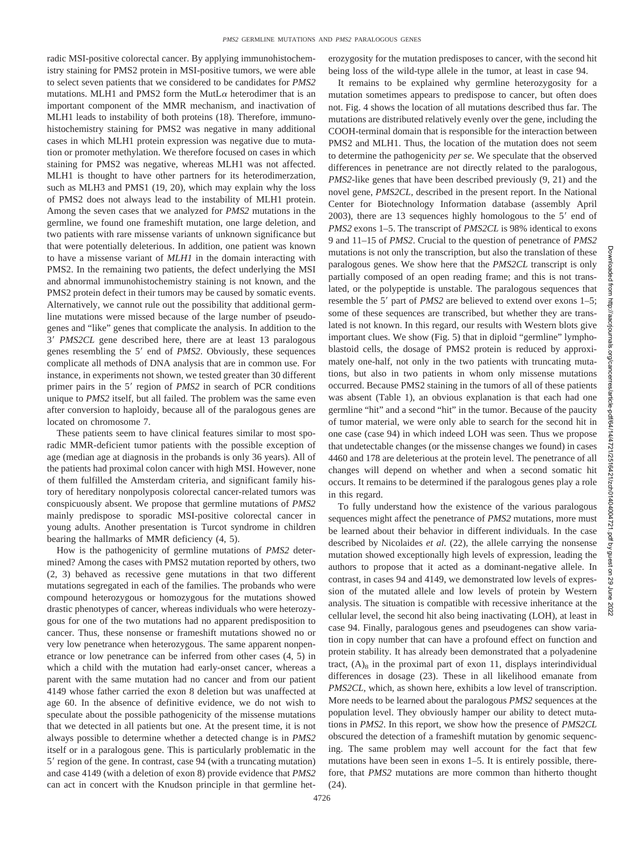radic MSI-positive colorectal cancer. By applying immunohistochemistry staining for PMS2 protein in MSI-positive tumors, we were able to select seven patients that we considered to be candidates for *PMS2* mutations. MLH1 and PMS2 form the MutL $\alpha$  heterodimer that is an important component of the MMR mechanism, and inactivation of MLH1 leads to instability of both proteins (18). Therefore, immunohistochemistry staining for PMS2 was negative in many additional cases in which MLH1 protein expression was negative due to mutation or promoter methylation. We therefore focused on cases in which staining for PMS2 was negative, whereas MLH1 was not affected. MLH1 is thought to have other partners for its heterodimerzation, such as MLH3 and PMS1 (19, 20), which may explain why the loss of PMS2 does not always lead to the instability of MLH1 protein. Among the seven cases that we analyzed for *PMS2* mutations in the germline, we found one frameshift mutation, one large deletion, and two patients with rare missense variants of unknown significance but that were potentially deleterious. In addition, one patient was known to have a missense variant of *MLH1* in the domain interacting with PMS2. In the remaining two patients, the defect underlying the MSI and abnormal immunohistochemistry staining is not known, and the PMS2 protein defect in their tumors may be caused by somatic events. Alternatively, we cannot rule out the possibility that additional germline mutations were missed because of the large number of pseudogenes and "like" genes that complicate the analysis. In addition to the 3 *PMS2CL* gene described here, there are at least 13 paralogous genes resembling the 5' end of *PMS2*. Obviously, these sequences complicate all methods of DNA analysis that are in common use. For instance, in experiments not shown, we tested greater than 30 different primer pairs in the 5' region of *PMS2* in search of PCR conditions unique to *PMS2* itself, but all failed. The problem was the same even after conversion to haploidy, because all of the paralogous genes are located on chromosome 7.

These patients seem to have clinical features similar to most sporadic MMR-deficient tumor patients with the possible exception of age (median age at diagnosis in the probands is only 36 years). All of the patients had proximal colon cancer with high MSI. However, none of them fulfilled the Amsterdam criteria, and significant family history of hereditary nonpolyposis colorectal cancer-related tumors was conspicuously absent. We propose that germline mutations of *PMS2* mainly predispose to sporadic MSI-positive colorectal cancer in young adults. Another presentation is Turcot syndrome in children bearing the hallmarks of MMR deficiency (4, 5).

How is the pathogenicity of germline mutations of *PMS2* determined? Among the cases with PMS2 mutation reported by others, two (2, 3) behaved as recessive gene mutations in that two different mutations segregated in each of the families. The probands who were compound heterozygous or homozygous for the mutations showed drastic phenotypes of cancer, whereas individuals who were heterozygous for one of the two mutations had no apparent predisposition to cancer. Thus, these nonsense or frameshift mutations showed no or very low penetrance when heterozygous. The same apparent nonpenetrance or low penetrance can be inferred from other cases (4, 5) in which a child with the mutation had early-onset cancer, whereas a parent with the same mutation had no cancer and from our patient 4149 whose father carried the exon 8 deletion but was unaffected at age 60. In the absence of definitive evidence, we do not wish to speculate about the possible pathogenicity of the missense mutations that we detected in all patients but one. At the present time, it is not always possible to determine whether a detected change is in *PMS2* itself or in a paralogous gene. This is particularly problematic in the 5 region of the gene. In contrast, case 94 (with a truncating mutation) and case 4149 (with a deletion of exon 8) provide evidence that *PMS2* can act in concert with the Knudson principle in that germline heterozygosity for the mutation predisposes to cancer, with the second hit being loss of the wild-type allele in the tumor, at least in case 94.

It remains to be explained why germline heterozygosity for a mutation sometimes appears to predispose to cancer, but often does not. Fig. 4 shows the location of all mutations described thus far. The mutations are distributed relatively evenly over the gene, including the COOH-terminal domain that is responsible for the interaction between PMS2 and MLH1. Thus, the location of the mutation does not seem to determine the pathogenicity *per se*. We speculate that the observed differences in penetrance are not directly related to the paralogous, *PMS2*-like genes that have been described previously (9, 21) and the novel gene, *PMS2CL,* described in the present report. In the National Center for Biotechnology Information database (assembly April 2003), there are 13 sequences highly homologous to the  $5'$  end of *PMS2* exons 1–5. The transcript of *PMS2CL* is 98% identical to exons 9 and 11–15 of *PMS2*. Crucial to the question of penetrance of *PMS2* mutations is not only the transcription, but also the translation of these paralogous genes. We show here that the *PMS2CL* transcript is only partially composed of an open reading frame; and this is not translated, or the polypeptide is unstable. The paralogous sequences that resemble the 5' part of *PMS2* are believed to extend over exons 1–5; some of these sequences are transcribed, but whether they are translated is not known. In this regard, our results with Western blots give important clues. We show (Fig. 5) that in diploid "germline" lymphoblastoid cells, the dosage of PMS2 protein is reduced by approximately one-half, not only in the two patients with truncating mutations, but also in two patients in whom only missense mutations occurred. Because PMS2 staining in the tumors of all of these patients was absent (Table 1), an obvious explanation is that each had one germline "hit" and a second "hit" in the tumor. Because of the paucity of tumor material, we were only able to search for the second hit in one case (case 94) in which indeed LOH was seen. Thus we propose that undetectable changes (or the missense changes we found) in cases 4460 and 178 are deleterious at the protein level. The penetrance of all changes will depend on whether and when a second somatic hit occurs. It remains to be determined if the paralogous genes play a role in this regard.

To fully understand how the existence of the various paralogous sequences might affect the penetrance of *PMS2* mutations, more must be learned about their behavior in different individuals. In the case described by Nicolaides *et al.* (22), the allele carrying the nonsense mutation showed exceptionally high levels of expression, leading the authors to propose that it acted as a dominant-negative allele. In contrast, in cases 94 and 4149, we demonstrated low levels of expression of the mutated allele and low levels of protein by Western analysis. The situation is compatible with recessive inheritance at the cellular level, the second hit also being inactivating (LOH), at least in case 94. Finally, paralogous genes and pseudogenes can show variation in copy number that can have a profound effect on function and protein stability. It has already been demonstrated that a polyadenine tract,  $(A)$ <sub>8</sub> in the proximal part of exon 11, displays interindividual differences in dosage (23). These in all likelihood emanate from *PMS2CL,* which, as shown here, exhibits a low level of transcription. More needs to be learned about the paralogous *PMS2* sequences at the population level. They obviously hamper our ability to detect mutations in *PMS2*. In this report, we show how the presence of *PMS2CL* obscured the detection of a frameshift mutation by genomic sequencing. The same problem may well account for the fact that few mutations have been seen in exons 1–5. It is entirely possible, therefore, that *PMS2* mutations are more common than hitherto thought (24).

Downloaded